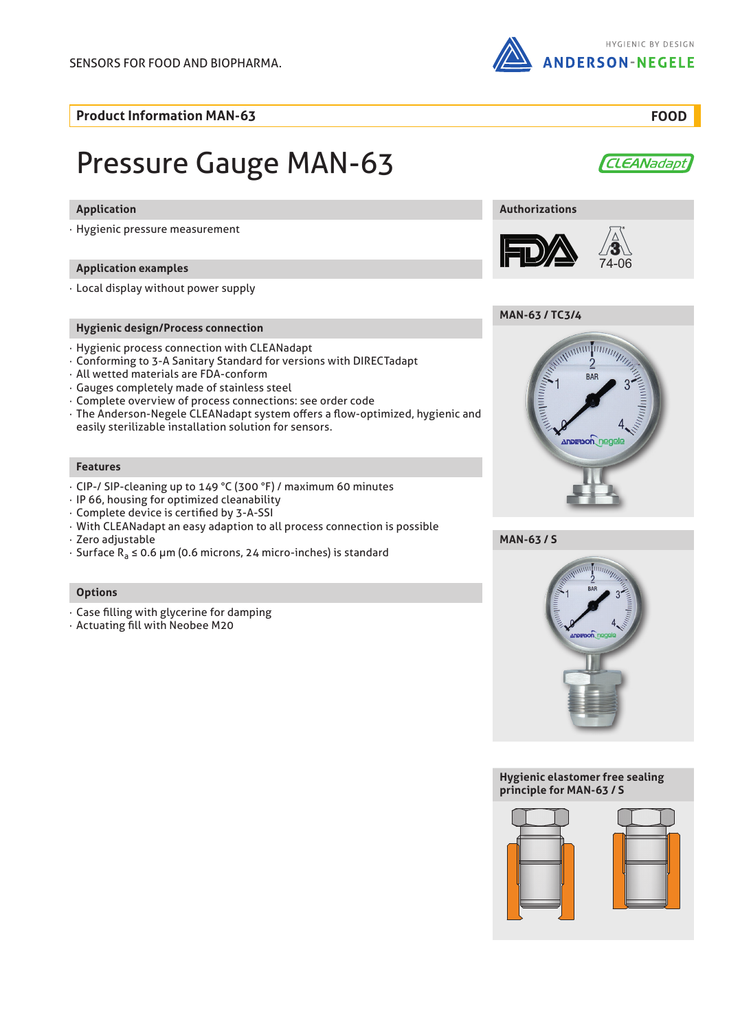

**Product Information MAN-63 FOOD**

# Pressure Gauge MAN-63

#### **Application**

· Hygienic pressure measurement

#### **Application examples**

· Local display without power supply

#### **Hygienic design/Process connection**

- · Hygienic process connection with CLEANadapt
- · Conforming to 3-A Sanitary Standard for versions with DIRECTadapt
- · All wetted materials are FDA-conform
- · Gauges completely made of stainless steel
- · Complete overview of process connections: see order code
- · The Anderson-Negele CLEANadapt system offers a flow-optimized, hygienic and easily sterilizable installation solution for sensors.

#### **Features**

- · CIP-/ SIP-cleaning up to 149 °C (300 °F) / maximum 60 minutes
- · IP 66, housing for optimized cleanability
- · Complete device is certified by 3-A-SSI
- · With CLEANadapt an easy adaption to all process connection is possible
- · Zero adjustable
- · Surface Ra ≤ 0.6 μm (0.6 microns, 24 micro-inches) is standard

#### **Options**

- · Case filling with glycerine for damping
- · Actuating fill with Neobee M20



### **Authorizations**









**MAN-63 / S**



#### **Hygienic elastomer free sealing principle for MAN-63 / S**



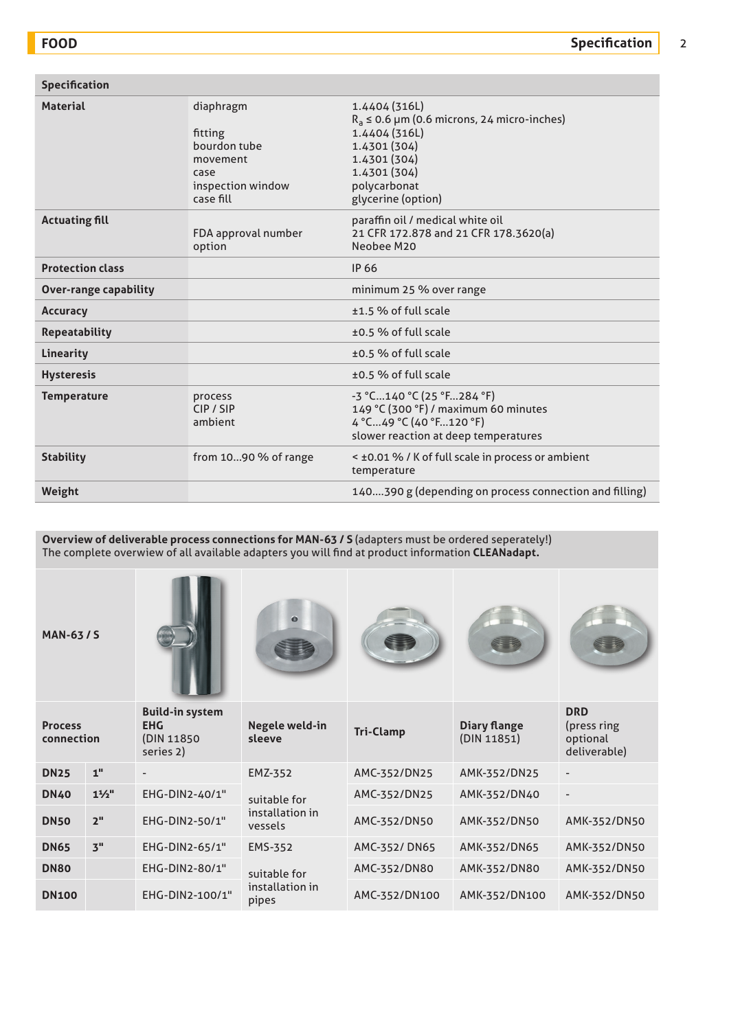| <b>Specification</b>         |                                                                                            |                                                                                                                                                                         |
|------------------------------|--------------------------------------------------------------------------------------------|-------------------------------------------------------------------------------------------------------------------------------------------------------------------------|
| <b>Material</b>              | diaphragm<br>fitting<br>bourdon tube<br>movement<br>case<br>inspection window<br>case fill | 1.4404 (316L)<br>$R_a \le 0.6$ µm (0.6 microns, 24 micro-inches)<br>1.4404 (316L)<br>1.4301 (304)<br>1.4301 (304)<br>1.4301 (304)<br>polycarbonat<br>glycerine (option) |
| <b>Actuating fill</b>        | FDA approval number<br>option                                                              | paraffin oil / medical white oil<br>21 CFR 172.878 and 21 CFR 178.3620(a)<br>Neobee M20                                                                                 |
| <b>Protection class</b>      |                                                                                            | IP 66                                                                                                                                                                   |
| <b>Over-range capability</b> |                                                                                            | minimum 25 % over range                                                                                                                                                 |
| <b>Accuracy</b>              |                                                                                            | ±1.5 % of full scale                                                                                                                                                    |
| <b>Repeatability</b>         |                                                                                            | ±0.5 % of full scale                                                                                                                                                    |
| Linearity                    |                                                                                            | ±0.5 % of full scale                                                                                                                                                    |
| <b>Hysteresis</b>            |                                                                                            | ±0.5 % of full scale                                                                                                                                                    |
| <b>Temperature</b>           | process<br>CIP / SIP<br>ambient                                                            | -3 °C140 °C (25 °F284 °F)<br>149 °C (300 °F) / maximum 60 minutes<br>4 °C49 °C (40 °F120 °F)<br>slower reaction at deep temperatures                                    |
| <b>Stability</b>             | from $1090%$ of range                                                                      | < ±0.01 % / K of full scale in process or ambient<br>temperature                                                                                                        |
| Weight                       |                                                                                            | 140390 g (depending on process connection and filling)                                                                                                                  |

**Overview of deliverable process connections for MAN-63 / S** (adapters must be ordered seperately!) The complete overwiew of all available adapters you will find at product information **CLEANadapt.**

**MAN-63 / S**











| <b>Process</b><br>connection |                 | <b>Build-in system</b><br><b>EHG</b><br>(DIN 11850)<br>series 2) | Negele weld-in<br>sleeve   | <b>Tri-Clamp</b> | <b>Diary flange</b><br>(DIN 11851) | <b>DRD</b><br>(press ring)<br>optional<br>deliverable) |
|------------------------------|-----------------|------------------------------------------------------------------|----------------------------|------------------|------------------------------------|--------------------------------------------------------|
| <b>DN25</b>                  | 1 <sup>''</sup> | $\overline{\phantom{a}}$                                         | EMZ-352                    | AMC-352/DN25     | AMK-352/DN25                       | $\overline{\phantom{a}}$                               |
| <b>DN40</b>                  | $1\frac{1}{2}$  | EHG-DIN2-40/1"                                                   | suitable for               | AMC-352/DN25     | AMK-352/DN40                       | $\overline{\phantom{a}}$                               |
| <b>DN50</b>                  | 2 <sup>11</sup> | EHG-DIN2-50/1"                                                   | installation in<br>vessels | AMC-352/DN50     | AMK-352/DN50                       | AMK-352/DN50                                           |
| <b>DN65</b>                  | 3"              | EHG-DIN2-65/1"                                                   | <b>EMS-352</b>             | AMC-352/DN65     | AMK-352/DN65                       | AMK-352/DN50                                           |
| <b>DN80</b>                  |                 | EHG-DIN2-80/1"                                                   | suitable for               | AMC-352/DN80     | AMK-352/DN80                       | AMK-352/DN50                                           |
| <b>DN100</b>                 |                 | EHG-DIN2-100/1"                                                  | installation in<br>pipes   | AMC-352/DN100    | AMK-352/DN100                      | AMK-352/DN50                                           |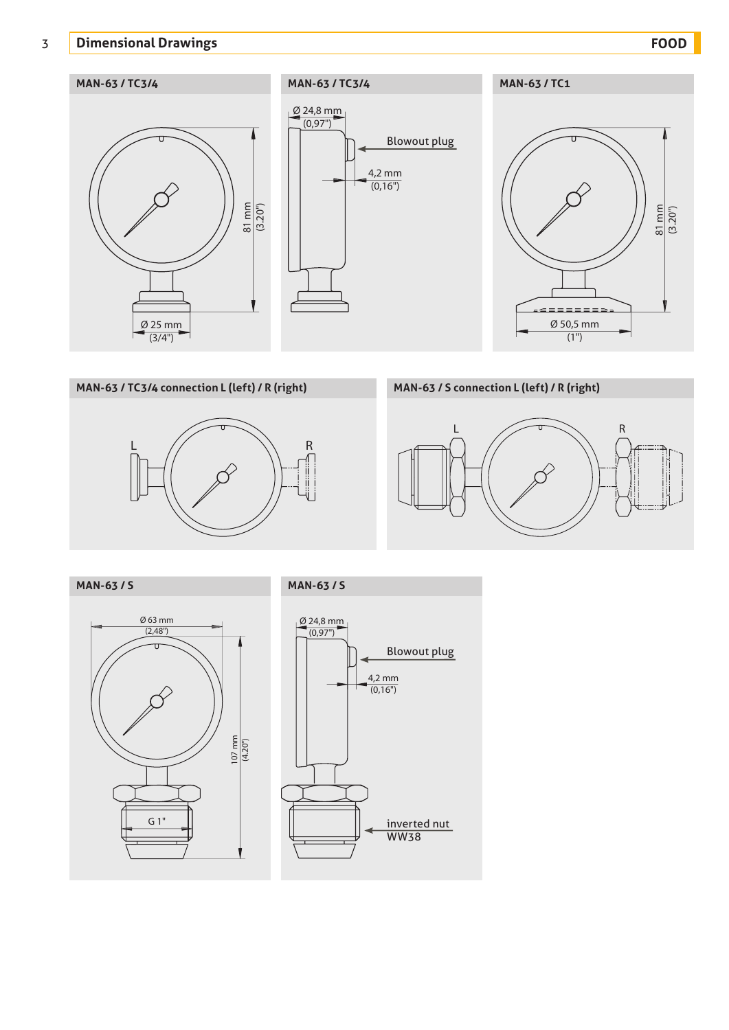# 3 **Dimensional Drawings FOOD**







# **MAN-63 / S connection L (left) / R (right)**



**MAN-63 / TC3/4 connection L (left) / R (right)**

 $L \qquad \qquad \qquad R$